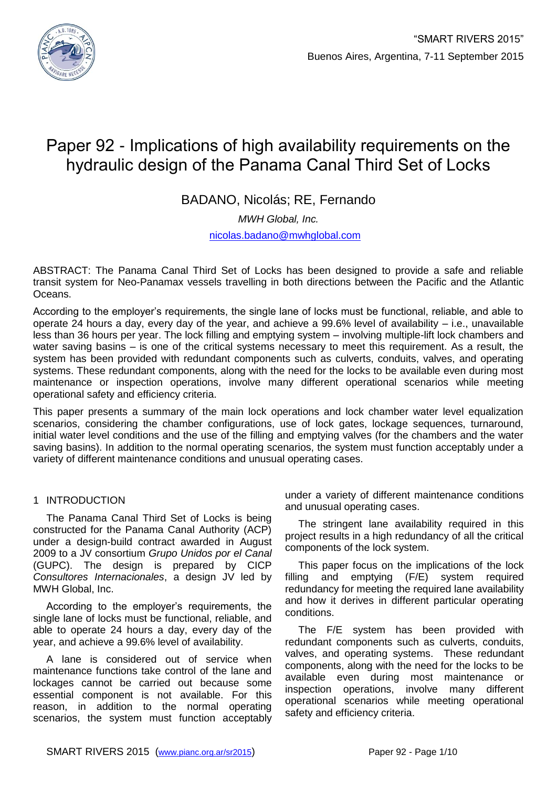

# Paper 92 - Implications of high availability requirements on the hydraulic design of the Panama Canal Third Set of Locks

BADANO, Nicolás; RE, Fernando

*MWH Global, Inc.*

[nicolas.badano@mwhglobal.com](mailto:nicolas.badano@mwhglobal.com)

ABSTRACT: The Panama Canal Third Set of Locks has been designed to provide a safe and reliable transit system for Neo-Panamax vessels travelling in both directions between the Pacific and the Atlantic Oceans.

According to the employer's requirements, the single lane of locks must be functional, reliable, and able to operate 24 hours a day, every day of the year, and achieve a 99.6% level of availability – i.e., unavailable less than 36 hours per year. The lock filling and emptying system – involving multiple-lift lock chambers and water saving basins – is one of the critical systems necessary to meet this requirement. As a result, the system has been provided with redundant components such as culverts, conduits, valves, and operating systems. These redundant components, along with the need for the locks to be available even during most maintenance or inspection operations, involve many different operational scenarios while meeting operational safety and efficiency criteria.

This paper presents a summary of the main lock operations and lock chamber water level equalization scenarios, considering the chamber configurations, use of lock gates, lockage sequences, turnaround, initial water level conditions and the use of the filling and emptying valves (for the chambers and the water saving basins). In addition to the normal operating scenarios, the system must function acceptably under a variety of different maintenance conditions and unusual operating cases.

# 1 INTRODUCTION

The Panama Canal Third Set of Locks is being constructed for the Panama Canal Authority (ACP) under a design-build contract awarded in August 2009 to a JV consortium *Grupo Unidos por el Canal* (GUPC). The design is prepared by CICP *Consultores Internacionales*, a design JV led by MWH Global, Inc.

According to the employer's requirements, the single lane of locks must be functional, reliable, and able to operate 24 hours a day, every day of the year, and achieve a 99.6% level of availability.

A lane is considered out of service when maintenance functions take control of the lane and lockages cannot be carried out because some essential component is not available. For this reason, in addition to the normal operating scenarios, the system must function acceptably

under a variety of different maintenance conditions and unusual operating cases.

The stringent lane availability required in this project results in a high redundancy of all the critical components of the lock system.

This paper focus on the implications of the lock filling and emptying (F/E) system required redundancy for meeting the required lane availability and how it derives in different particular operating conditions.

The F/E system has been provided with redundant components such as culverts, conduits, valves, and operating systems. These redundant components, along with the need for the locks to be available even during most maintenance or inspection operations, involve many different operational scenarios while meeting operational safety and efficiency criteria.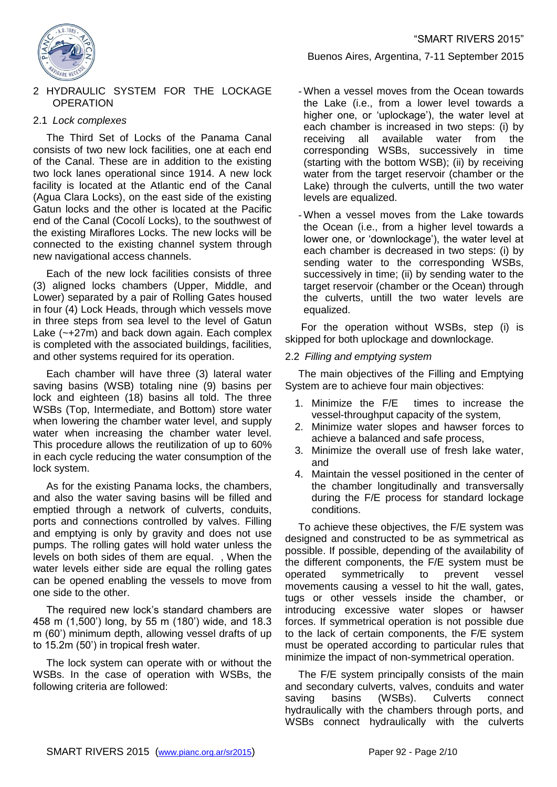

#### 2 HYDRAULIC SYSTEM FOR THE LOCKAGE **OPERATION**

# 2.1 *Lock complexes*

The Third Set of Locks of the Panama Canal consists of two new lock facilities, one at each end of the Canal. These are in addition to the existing two lock lanes operational since 1914. A new lock facility is located at the Atlantic end of the Canal (Agua Clara Locks), on the east side of the existing Gatun locks and the other is located at the Pacific end of the Canal (Cocolí Locks), to the southwest of the existing Miraflores Locks. The new locks will be connected to the existing channel system through new navigational access channels.

Each of the new lock facilities consists of three (3) aligned locks chambers (Upper, Middle, and Lower) separated by a pair of Rolling Gates housed in four (4) Lock Heads, through which vessels move in three steps from sea level to the level of Gatun Lake (~+27m) and back down again. Each complex is completed with the associated buildings, facilities, and other systems required for its operation.

Each chamber will have three (3) lateral water saving basins (WSB) totaling nine (9) basins per lock and eighteen (18) basins all told. The three WSBs (Top, Intermediate, and Bottom) store water when lowering the chamber water level, and supply water when increasing the chamber water level. This procedure allows the reutilization of up to 60% in each cycle reducing the water consumption of the lock system.

As for the existing Panama locks, the chambers, and also the water saving basins will be filled and emptied through a network of culverts, conduits, ports and connections controlled by valves. Filling and emptying is only by gravity and does not use pumps. The rolling gates will hold water unless the levels on both sides of them are equal. , When the water levels either side are equal the rolling gates can be opened enabling the vessels to move from one side to the other.

The required new lock's standard chambers are 458 m (1,500') long, by 55 m (180') wide, and 18.3 m (60') minimum depth, allowing vessel drafts of up to 15.2m (50') in tropical fresh water.

The lock system can operate with or without the WSBs. In the case of operation with WSBs, the following criteria are followed:

- When a vessel moves from the Ocean towards the Lake (i.e., from a lower level towards a higher one, or 'uplockage'), the water level at each chamber is increased in two steps: (i) by receiving all available water from the corresponding WSBs, successively in time (starting with the bottom WSB); (ii) by receiving water from the target reservoir (chamber or the Lake) through the culverts, untill the two water levels are equalized.

Buenos Aires, Argentina, 7-11 September 2015

- When a vessel moves from the Lake towards the Ocean (i.e., from a higher level towards a lower one, or 'downlockage'), the water level at each chamber is decreased in two steps: (i) by sending water to the corresponding WSBs, successively in time; (ii) by sending water to the target reservoir (chamber or the Ocean) through the culverts, untill the two water levels are equalized.

For the operation without WSBs, step (i) is skipped for both uplockage and downlockage.

# 2.2 *Filling and emptying system*

The main objectives of the Filling and Emptying System are to achieve four main objectives:

- 1. Minimize the F/E times to increase the vessel-throughput capacity of the system,
- 2. Minimize water slopes and hawser forces to achieve a balanced and safe process,
- 3. Minimize the overall use of fresh lake water, and
- 4. Maintain the vessel positioned in the center of the chamber longitudinally and transversally during the F/E process for standard lockage conditions.

To achieve these objectives, the F/E system was designed and constructed to be as symmetrical as possible. If possible, depending of the availability of the different components, the F/E system must be operated symmetrically to prevent vessel movements causing a vessel to hit the wall, gates, tugs or other vessels inside the chamber, or introducing excessive water slopes or hawser forces. If symmetrical operation is not possible due to the lack of certain components, the F/E system must be operated according to particular rules that minimize the impact of non-symmetrical operation.

The F/E system principally consists of the main and secondary culverts, valves, conduits and water saving basins (WSBs). Culverts connect hydraulically with the chambers through ports, and WSBs connect hydraulically with the culverts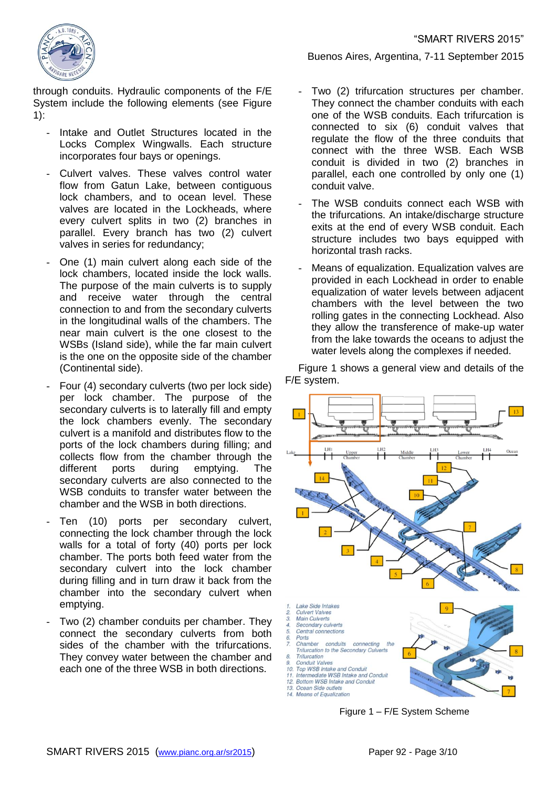

through conduits. Hydraulic components of the F/E System include the following elements (see Figure [1\)](#page-2-0):

- Intake and Outlet Structures located in the Locks Complex Wingwalls. Each structure incorporates four bays or openings.
- Culvert valves. These valves control water flow from Gatun Lake, between contiguous lock chambers, and to ocean level. These valves are located in the Lockheads, where every culvert splits in two (2) branches in parallel. Every branch has two (2) culvert valves in series for redundancy;
- One (1) main culvert along each side of the lock chambers, located inside the lock walls. The purpose of the main culverts is to supply and receive water through the central connection to and from the secondary culverts in the longitudinal walls of the chambers. The near main culvert is the one closest to the WSBs (Island side), while the far main culvert is the one on the opposite side of the chamber (Continental side).
- Four (4) secondary culverts (two per lock side) per lock chamber. The purpose of the secondary culverts is to laterally fill and empty the lock chambers evenly. The secondary culvert is a manifold and distributes flow to the ports of the lock chambers during filling; and collects flow from the chamber through the different ports during emptying. The secondary culverts are also connected to the WSB conduits to transfer water between the chamber and the WSB in both directions.
- Ten (10) ports per secondary culvert, connecting the lock chamber through the lock walls for a total of forty (40) ports per lock chamber. The ports both feed water from the secondary culvert into the lock chamber during filling and in turn draw it back from the chamber into the secondary culvert when emptying.
- Two (2) chamber conduits per chamber. They connect the secondary culverts from both sides of the chamber with the trifurcations. They convey water between the chamber and each one of the three WSB in both directions.

Buenos Aires, Argentina, 7-11 September 2015

- Two (2) trifurcation structures per chamber. They connect the chamber conduits with each one of the WSB conduits. Each trifurcation is connected to six (6) conduit valves that regulate the flow of the three conduits that connect with the three WSB. Each WSB conduit is divided in two (2) branches in parallel, each one controlled by only one (1) conduit valve.
- The WSB conduits connect each WSB with the trifurcations. An intake/discharge structure exits at the end of every WSB conduit. Each structure includes two bays equipped with horizontal trash racks.
- Means of equalization. Equalization valves are provided in each Lockhead in order to enable equalization of water levels between adjacent chambers with the level between the two rolling gates in the connecting Lockhead. Also they allow the transference of make-up water from the lake towards the oceans to adjust the water levels along the complexes if needed.

[Figure 1](#page-2-0) shows a general view and details of the F/E system.



<span id="page-2-0"></span>Figure 1 – F/E System Scheme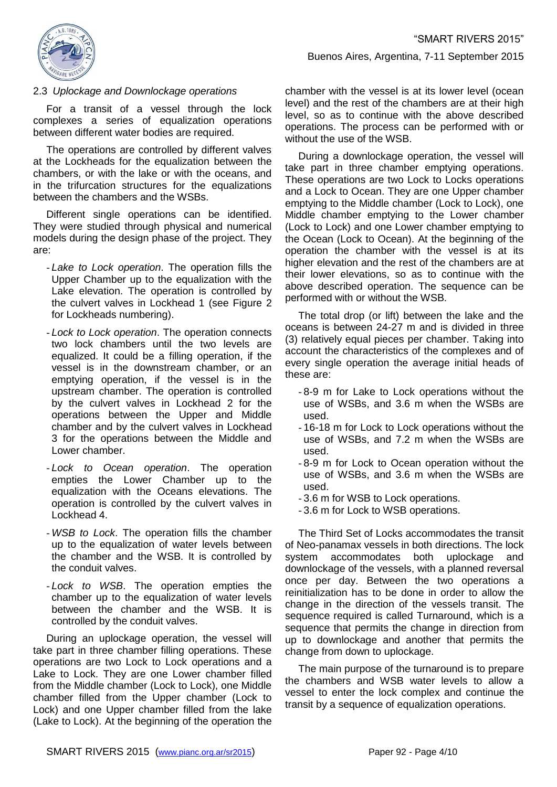

# Buenos Aires, Argentina, 7-11 September 2015

#### <span id="page-3-0"></span>2.3 *Uplockage and Downlockage operations*

For a transit of a vessel through the lock complexes a series of equalization operations between different water bodies are required.

The operations are controlled by different valves at the Lockheads for the equalization between the chambers, or with the lake or with the oceans, and in the trifurcation structures for the equalizations between the chambers and the WSBs.

Different single operations can be identified. They were studied through physical and numerical models during the design phase of the project. They are:

- *Lake to Lock operation*. The operation fills the Upper Chamber up to the equalization with the Lake elevation. The operation is controlled by the culvert valves in Lockhead 1 (see [Figure 2](#page-4-0) for Lockheads numbering).
- *Lock to Lock operation*. The operation connects two lock chambers until the two levels are equalized. It could be a filling operation, if the vessel is in the downstream chamber, or an emptying operation, if the vessel is in the upstream chamber. The operation is controlled by the culvert valves in Lockhead 2 for the operations between the Upper and Middle chamber and by the culvert valves in Lockhead 3 for the operations between the Middle and Lower chamber.
- *Lock to Ocean operation*. The operation empties the Lower Chamber up to the equalization with the Oceans elevations. The operation is controlled by the culvert valves in Lockhead 4.
- *WSB to Lock*. The operation fills the chamber up to the equalization of water levels between the chamber and the WSB. It is controlled by the conduit valves.
- *Lock to WSB*. The operation empties the chamber up to the equalization of water levels between the chamber and the WSB. It is controlled by the conduit valves.

During an uplockage operation, the vessel will take part in three chamber filling operations. These operations are two Lock to Lock operations and a Lake to Lock. They are one Lower chamber filled from the Middle chamber (Lock to Lock), one Middle chamber filled from the Upper chamber (Lock to Lock) and one Upper chamber filled from the lake (Lake to Lock). At the beginning of the operation the

chamber with the vessel is at its lower level (ocean level) and the rest of the chambers are at their high level, so as to continue with the above described operations. The process can be performed with or without the use of the WSB.

During a downlockage operation, the vessel will take part in three chamber emptying operations. These operations are two Lock to Locks operations and a Lock to Ocean. They are one Upper chamber emptying to the Middle chamber (Lock to Lock), one Middle chamber emptying to the Lower chamber (Lock to Lock) and one Lower chamber emptying to the Ocean (Lock to Ocean). At the beginning of the operation the chamber with the vessel is at its higher elevation and the rest of the chambers are at their lower elevations, so as to continue with the above described operation. The sequence can be performed with or without the WSB.

The total drop (or lift) between the lake and the oceans is between 24-27 m and is divided in three (3) relatively equal pieces per chamber. Taking into account the characteristics of the complexes and of every single operation the average initial heads of these are:

- 8-9 m for Lake to Lock operations without the use of WSBs, and 3.6 m when the WSBs are used.
- 16-18 m for Lock to Lock operations without the use of WSBs, and 7.2 m when the WSBs are used.
- 8-9 m for Lock to Ocean operation without the use of WSBs, and 3.6 m when the WSBs are used.
- 3.6 m for WSB to Lock operations.
- 3.6 m for Lock to WSB operations.

The Third Set of Locks accommodates the transit of Neo-panamax vessels in both directions. The lock system accommodates both uplockage and downlockage of the vessels, with a planned reversal once per day. Between the two operations a reinitialization has to be done in order to allow the change in the direction of the vessels transit. The sequence required is called Turnaround, which is a sequence that permits the change in direction from up to downlockage and another that permits the change from down to uplockage.

The main purpose of the turnaround is to prepare the chambers and WSB water levels to allow a vessel to enter the lock complex and continue the transit by a sequence of equalization operations.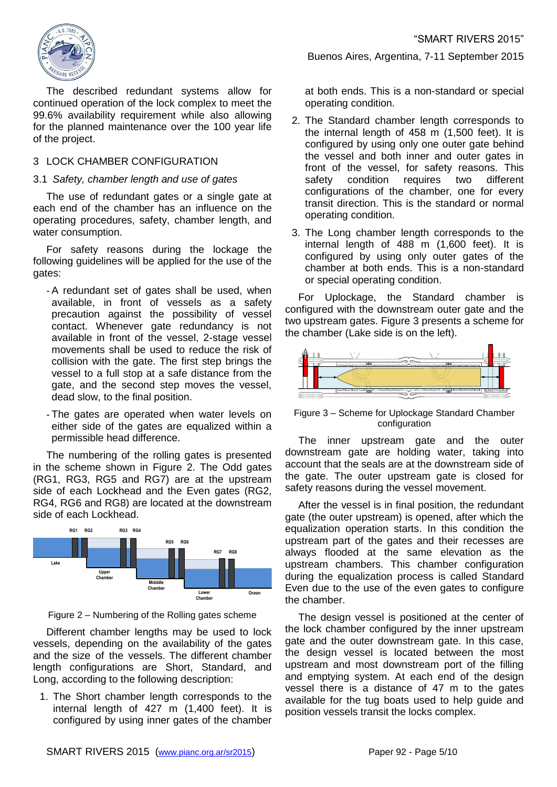

The described redundant systems allow for continued operation of the lock complex to meet the 99.6% availability requirement while also allowing for the planned maintenance over the 100 year life of the project.

# 3 LOCK CHAMBER CONFIGURATION

#### 3.1 *Safety, chamber length and use of gates*

The use of redundant gates or a single gate at each end of the chamber has an influence on the operating procedures, safety, chamber length, and water consumption.

For safety reasons during the lockage the following guidelines will be applied for the use of the gates:

- A redundant set of gates shall be used, when available, in front of vessels as a safety precaution against the possibility of vessel contact. Whenever gate redundancy is not available in front of the vessel, 2-stage vessel movements shall be used to reduce the risk of collision with the gate. The first step brings the vessel to a full stop at a safe distance from the gate, and the second step moves the vessel, dead slow, to the final position.

- The gates are operated when water levels on either side of the gates are equalized within a permissible head difference.

The numbering of the rolling gates is presented in the scheme shown in [Figure 2.](#page-4-0) The Odd gates (RG1, RG3, RG5 and RG7) are at the upstream side of each Lockhead and the Even gates (RG2, RG4, RG6 and RG8) are located at the downstream side of each Lockhead.



Figure 2 – Numbering of the Rolling gates scheme

<span id="page-4-0"></span>Different chamber lengths may be used to lock vessels, depending on the availability of the gates and the size of the vessels. The different chamber length configurations are Short, Standard, and Long, according to the following description:

1. The Short chamber length corresponds to the internal length of 427 m (1,400 feet). It is configured by using inner gates of the chamber

Buenos Aires, Argentina, 7-11 September 2015

at both ends. This is a non-standard or special operating condition.

- 2. The Standard chamber length corresponds to the internal length of 458 m (1,500 feet). It is configured by using only one outer gate behind the vessel and both inner and outer gates in front of the vessel, for safety reasons. This safety condition requires two different configurations of the chamber, one for every transit direction. This is the standard or normal operating condition.
- 3. The Long chamber length corresponds to the internal length of 488 m (1,600 feet). It is configured by using only outer gates of the chamber at both ends. This is a non-standard or special operating condition.

For Uplockage, the Standard chamber is configured with the downstream outer gate and the two upstream gates. [Figure 3](#page-4-1) presents a scheme for the chamber (Lake side is on the left).



<span id="page-4-1"></span>Figure 3 – Scheme for Uplockage Standard Chamber configuration

The inner upstream gate and the outer downstream gate are holding water, taking into account that the seals are at the downstream side of the gate. The outer upstream gate is closed for safety reasons during the vessel movement.

After the vessel is in final position, the redundant gate (the outer upstream) is opened, after which the equalization operation starts. In this condition the upstream part of the gates and their recesses are always flooded at the same elevation as the upstream chambers. This chamber configuration during the equalization process is called Standard Even due to the use of the even gates to configure the chamber.

The design vessel is positioned at the center of the lock chamber configured by the inner upstream gate and the outer downstream gate. In this case, the design vessel is located between the most upstream and most downstream port of the filling and emptying system. At each end of the design vessel there is a distance of 47 m to the gates available for the tug boats used to help guide and position vessels transit the locks complex.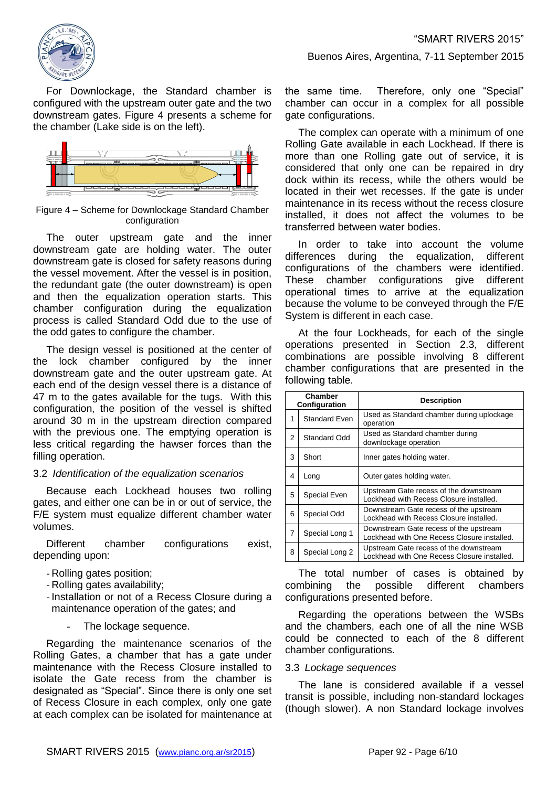

For Downlockage, the Standard chamber is configured with the upstream outer gate and the two downstream gates. [Figure 4](#page-5-0) presents a scheme for the chamber (Lake side is on the left).



<span id="page-5-0"></span>Figure 4 – Scheme for Downlockage Standard Chamber configuration

The outer upstream gate and the inner downstream gate are holding water. The outer downstream gate is closed for safety reasons during the vessel movement. After the vessel is in position, the redundant gate (the outer downstream) is open and then the equalization operation starts. This chamber configuration during the equalization process is called Standard Odd due to the use of the odd gates to configure the chamber.

The design vessel is positioned at the center of the lock chamber configured by the inner downstream gate and the outer upstream gate. At each end of the design vessel there is a distance of 47 m to the gates available for the tugs. With this configuration, the position of the vessel is shifted around 30 m in the upstream direction compared with the previous one. The emptying operation is less critical regarding the hawser forces than the filling operation.

#### 3.2 *Identification of the equalization scenarios*

Because each Lockhead houses two rolling gates, and either one can be in or out of service, the F/E system must equalize different chamber water volumes.

Different chamber configurations exist, depending upon:

- Rolling gates position;
- Rolling gates availability;
- Installation or not of a Recess Closure during a maintenance operation of the gates; and
	- The lockage sequence.

Regarding the maintenance scenarios of the Rolling Gates, a chamber that has a gate under maintenance with the Recess Closure installed to isolate the Gate recess from the chamber is designated as "Special". Since there is only one set of Recess Closure in each complex, only one gate at each complex can be isolated for maintenance at the same time. Therefore, only one "Special" chamber can occur in a complex for all possible gate configurations.

Buenos Aires, Argentina, 7-11 September 2015

The complex can operate with a minimum of one Rolling Gate available in each Lockhead. If there is more than one Rolling gate out of service, it is considered that only one can be repaired in dry dock within its recess, while the others would be located in their wet recesses. If the gate is under maintenance in its recess without the recess closure installed, it does not affect the volumes to be transferred between water bodies.

In order to take into account the volume differences during the equalization, different configurations of the chambers were identified. These chamber configurations give different operational times to arrive at the equalization because the volume to be conveyed through the F/E System is different in each case.

At the four Lockheads, for each of the single operations presented in Section [2.3,](#page-3-0) different combinations are possible involving 8 different chamber configurations that are presented in the following table.

| Chamber<br>Configuration |                      | <b>Description</b>                                                                    |
|--------------------------|----------------------|---------------------------------------------------------------------------------------|
| 1                        | <b>Standard Even</b> | Used as Standard chamber during uplockage<br>operation                                |
| 2                        | Standard Odd         | Used as Standard chamber during<br>downlockage operation                              |
| 3                        | Short                | Inner gates holding water.                                                            |
| 4                        | Long                 | Outer gates holding water.                                                            |
| 5                        | Special Even         | Upstream Gate recess of the downstream<br>Lockhead with Recess Closure installed.     |
| 6                        | Special Odd          | Downstream Gate recess of the upstream<br>Lockhead with Recess Closure installed.     |
| 7                        | Special Long 1       | Downstream Gate recess of the upstream<br>Lockhead with One Recess Closure installed. |
| 8                        | Special Long 2       | Upstream Gate recess of the downstream<br>Lockhead with One Recess Closure installed. |

The total number of cases is obtained by combining the possible different chambers configurations presented before.

Regarding the operations between the WSBs and the chambers, each one of all the nine WSB could be connected to each of the 8 different chamber configurations.

# 3.3 *Lockage sequences*

The lane is considered available if a vessel transit is possible, including non-standard lockages (though slower). A non Standard lockage involves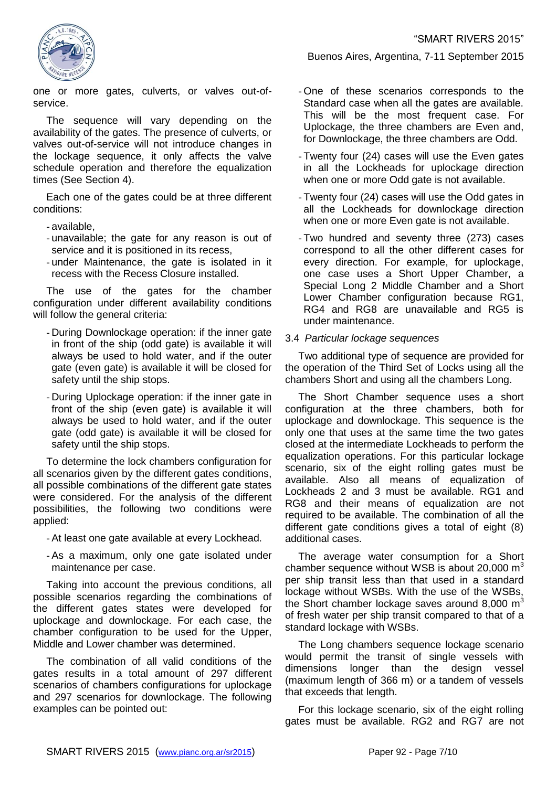

one or more gates, culverts, or valves out-ofservice.

The sequence will vary depending on the availability of the gates. The presence of culverts, or valves out-of-service will not introduce changes in the lockage sequence, it only affects the valve schedule operation and therefore the equalization times (See Section [4\)](#page-7-0).

Each one of the gates could be at three different conditions:

- available,
- unavailable; the gate for any reason is out of service and it is positioned in its recess,
- under Maintenance, the gate is isolated in it recess with the Recess Closure installed.

The use of the gates for the chamber configuration under different availability conditions will follow the general criteria:

- During Downlockage operation: if the inner gate in front of the ship (odd gate) is available it will always be used to hold water, and if the outer gate (even gate) is available it will be closed for safety until the ship stops.
- During Uplockage operation: if the inner gate in front of the ship (even gate) is available it will always be used to hold water, and if the outer gate (odd gate) is available it will be closed for safety until the ship stops.

To determine the lock chambers configuration for all scenarios given by the different gates conditions, all possible combinations of the different gate states were considered. For the analysis of the different possibilities, the following two conditions were applied:

- At least one gate available at every Lockhead.
- As a maximum, only one gate isolated under maintenance per case.

Taking into account the previous conditions, all possible scenarios regarding the combinations of the different gates states were developed for uplockage and downlockage. For each case, the chamber configuration to be used for the Upper, Middle and Lower chamber was determined.

The combination of all valid conditions of the gates results in a total amount of 297 different scenarios of chambers configurations for uplockage and 297 scenarios for downlockage. The following examples can be pointed out:

- One of these scenarios corresponds to the Standard case when all the gates are available. This will be the most frequent case. For Uplockage, the three chambers are Even and, for Downlockage, the three chambers are Odd.

Buenos Aires, Argentina, 7-11 September 2015

- Twenty four (24) cases will use the Even gates in all the Lockheads for uplockage direction when one or more Odd gate is not available.
- Twenty four (24) cases will use the Odd gates in all the Lockheads for downlockage direction when one or more Even gate is not available.
- Two hundred and seventy three (273) cases correspond to all the other different cases for every direction. For example, for uplockage, one case uses a Short Upper Chamber, a Special Long 2 Middle Chamber and a Short Lower Chamber configuration because RG1, RG4 and RG8 are unavailable and RG5 is under maintenance.

# 3.4 *Particular lockage sequences*

Two additional type of sequence are provided for the operation of the Third Set of Locks using all the chambers Short and using all the chambers Long.

The Short Chamber sequence uses a short configuration at the three chambers, both for uplockage and downlockage. This sequence is the only one that uses at the same time the two gates closed at the intermediate Lockheads to perform the equalization operations. For this particular lockage scenario, six of the eight rolling gates must be available. Also all means of equalization of Lockheads 2 and 3 must be available. RG1 and RG8 and their means of equalization are not required to be available. The combination of all the different gate conditions gives a total of eight (8) additional cases.

The average water consumption for a Short chamber sequence without WSB is about 20,000  $m<sup>3</sup>$ per ship transit less than that used in a standard lockage without WSBs. With the use of the WSBs, the Short chamber lockage saves around  $8,000 \text{ m}^3$ of fresh water per ship transit compared to that of a standard lockage with WSBs.

The Long chambers sequence lockage scenario would permit the transit of single vessels with dimensions longer than the design vessel (maximum length of 366 m) or a tandem of vessels that exceeds that length.

For this lockage scenario, six of the eight rolling gates must be available. RG2 and RG7 are not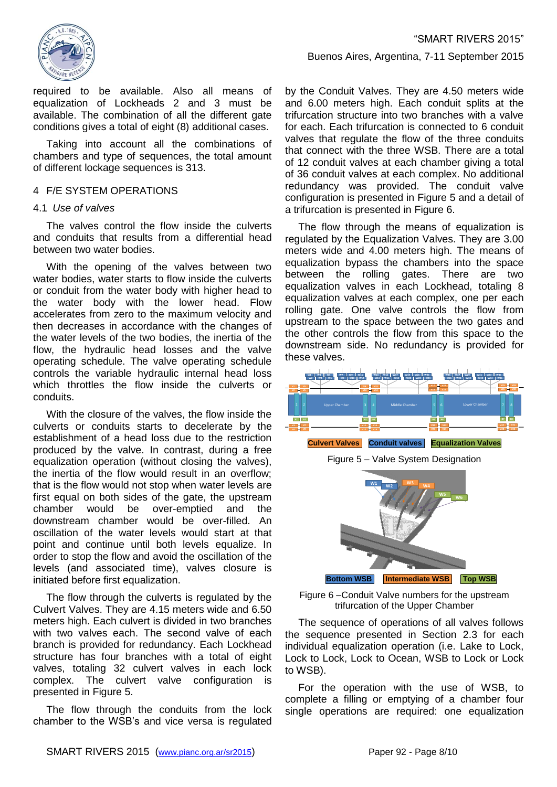

required to be available. Also all means of equalization of Lockheads 2 and 3 must be available. The combination of all the different gate conditions gives a total of eight (8) additional cases.

Taking into account all the combinations of chambers and type of sequences, the total amount of different lockage sequences is 313.

#### <span id="page-7-0"></span>4 F/E SYSTEM OPERATIONS

#### <span id="page-7-3"></span>4.1 *Use of valves*

The valves control the flow inside the culverts and conduits that results from a differential head between two water bodies.

With the opening of the valves between two water bodies, water starts to flow inside the culverts or conduit from the water body with higher head to the water body with the lower head. Flow accelerates from zero to the maximum velocity and then decreases in accordance with the changes of the water levels of the two bodies, the inertia of the flow, the hydraulic head losses and the valve operating schedule. The valve operating schedule controls the variable hydraulic internal head loss which throttles the flow inside the culverts or conduits.

With the closure of the valves, the flow inside the culverts or conduits starts to decelerate by the establishment of a head loss due to the restriction produced by the valve. In contrast, during a free equalization operation (without closing the valves), the inertia of the flow would result in an overflow; that is the flow would not stop when water levels are first equal on both sides of the gate, the upstream chamber would be over-emptied and the downstream chamber would be over-filled. An oscillation of the water levels would start at that point and continue until both levels equalize. In order to stop the flow and avoid the oscillation of the levels (and associated time), valves closure is initiated before first equalization.

The flow through the culverts is regulated by the Culvert Valves. They are 4.15 meters wide and 6.50 meters high. Each culvert is divided in two branches with two valves each. The second valve of each branch is provided for redundancy. Each Lockhead structure has four branches with a total of eight valves, totaling 32 culvert valves in each lock complex. The culvert valve configuration is presented in [Figure 5.](#page-7-1)

The flow through the conduits from the lock chamber to the WSB's and vice versa is regulated

#### Buenos Aires, Argentina, 7-11 September 2015

by the Conduit Valves. They are 4.50 meters wide and 6.00 meters high. Each conduit splits at the trifurcation structure into two branches with a valve for each. Each trifurcation is connected to 6 conduit valves that regulate the flow of the three conduits that connect with the three WSB. There are a total of 12 conduit valves at each chamber giving a total of 36 conduit valves at each complex. No additional redundancy was provided. The conduit valve configuration is presented in [Figure 5](#page-7-1) and a detail of a trifurcation is presented in [Figure 6.](#page-7-2)

The flow through the means of equalization is regulated by the Equalization Valves. They are 3.00 meters wide and 4.00 meters high. The means of equalization bypass the chambers into the space between the rolling gates. There are two equalization valves in each Lockhead, totaling 8 equalization valves at each complex, one per each rolling gate. One valve controls the flow from upstream to the space between the two gates and the other controls the flow from this space to the downstream side. No redundancy is provided for these valves.

<span id="page-7-1"></span>

<span id="page-7-2"></span>Figure 6 –Conduit Valve numbers for the upstream trifurcation of the Upper Chamber

The sequence of operations of all valves follows the sequence presented in Section [2.3](#page-3-0) for each individual equalization operation (i.e. Lake to Lock, Lock to Lock, Lock to Ocean, WSB to Lock or Lock to WSB).

For the operation with the use of WSB, to complete a filling or emptying of a chamber four single operations are required: one equalization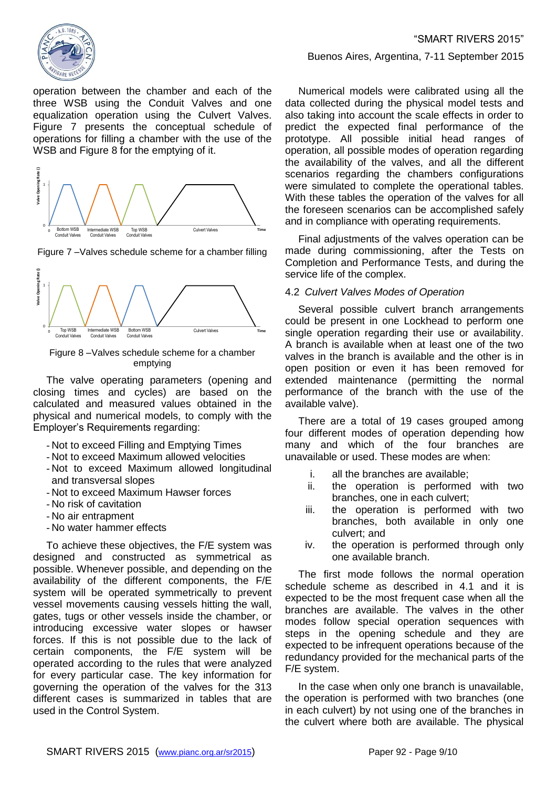

operation between the chamber and each of the three WSB using the Conduit Valves and one equalization operation using the Culvert Valves. [Figure 7](#page-8-0) presents the conceptual schedule of operations for filling a chamber with the use of the WSB and [Figure 8](#page-8-1) for the emptying of it.



<span id="page-8-0"></span>Figure 7 –Valves schedule scheme for a chamber filling



<span id="page-8-1"></span>Figure 8 –Valves schedule scheme for a chamber emptying

The valve operating parameters (opening and closing times and cycles) are based on the calculated and measured values obtained in the physical and numerical models, to comply with the Employer's Requirements regarding:

- Not to exceed Filling and Emptying Times
- Not to exceed Maximum allowed velocities
- Not to exceed Maximum allowed longitudinal and transversal slopes
- Not to exceed Maximum Hawser forces
- No risk of cavitation
- No air entrapment
- No water hammer effects

To achieve these objectives, the F/E system was designed and constructed as symmetrical as possible. Whenever possible, and depending on the availability of the different components, the F/E system will be operated symmetrically to prevent vessel movements causing vessels hitting the wall, gates, tugs or other vessels inside the chamber, or introducing excessive water slopes or hawser forces. If this is not possible due to the lack of certain components, the F/E system will be operated according to the rules that were analyzed for every particular case. The key information for governing the operation of the valves for the 313 different cases is summarized in tables that are used in the Control System.

#### Buenos Aires, Argentina, 7-11 September 2015

Numerical models were calibrated using all the data collected during the physical model tests and also taking into account the scale effects in order to predict the expected final performance of the prototype. All possible initial head ranges of operation, all possible modes of operation regarding the availability of the valves, and all the different scenarios regarding the chambers configurations were simulated to complete the operational tables. With these tables the operation of the valves for all the foreseen scenarios can be accomplished safely and in compliance with operating requirements.

Final adjustments of the valves operation can be made during commissioning, after the Tests on Completion and Performance Tests, and during the service life of the complex.

#### 4.2 *Culvert Valves Modes of Operation*

Several possible culvert branch arrangements could be present in one Lockhead to perform one single operation regarding their use or availability. A branch is available when at least one of the two valves in the branch is available and the other is in open position or even it has been removed for extended maintenance (permitting the normal performance of the branch with the use of the available valve).

There are a total of 19 cases grouped among four different modes of operation depending how many and which of the four branches are unavailable or used. These modes are when:

- i. all the branches are available;
- ii. the operation is performed with two branches, one in each culvert;
- iii. the operation is performed with two branches, both available in only one culvert; and
- iv. the operation is performed through only one available branch.

The first mode follows the normal operation schedule scheme as described in [4.1](#page-7-3) and it is expected to be the most frequent case when all the branches are available. The valves in the other modes follow special operation sequences with steps in the opening schedule and they are expected to be infrequent operations because of the redundancy provided for the mechanical parts of the F/E system.

In the case when only one branch is unavailable, the operation is performed with two branches (one in each culvert) by not using one of the branches in the culvert where both are available. The physical